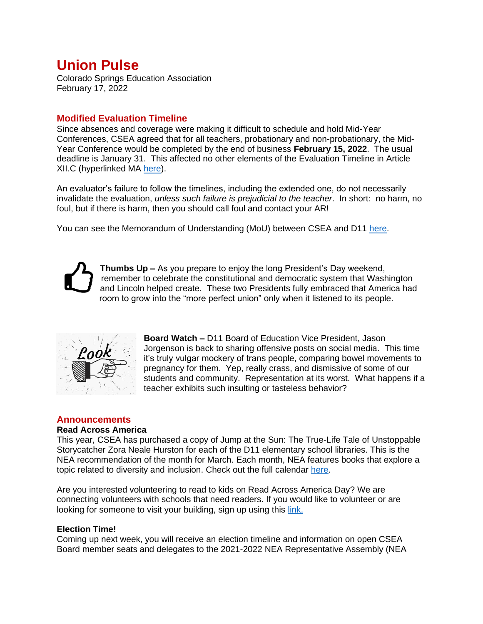# **Union Pulse**

Colorado Springs Education Association February 17, 2022

## **Modified Evaluation Timeline**

Since absences and coverage were making it difficult to schedule and hold Mid-Year Conferences, CSEA agreed that for all teachers, probationary and non-probationary, the Mid-Year Conference would be completed by the end of business **February 15, 2022**. The usual deadline is January 31. This affected no other elements of the Evaluation Timeline in Article XII.C (hyperlinked MA [here\)](https://www.cseateacher.org/wp/wp-content/uploads/2021/08/Master-Agreement-2021-22-with-schedule-and-hyperlinked.pdf).

An evaluator's failure to follow the timelines, including the extended one, do not necessarily invalidate the evaluation, *unless such failure is prejudicial to the teacher*. In short: no harm, no foul, but if there is harm, then you should call foul and contact your AR!

You can see the Memorandum of Understanding (MoU) between CSEA and D11 [here.](https://www.cseateacher.org/wp/wp-content/uploads/2022/02/MOU-22-01-24-Mid-year-Conference-Timeline-for-January-2022.pdf)



**Thumbs Up –** As you prepare to enjoy the long President's Day weekend, remember to celebrate the constitutional and democratic system that Washington and Lincoln helped create. These two Presidents fully embraced that America had room to grow into the "more perfect union" only when it listened to its people.



**Board Watch –** D11 Board of Education Vice President, Jason Jorgenson is back to sharing offensive posts on social media. This time it's truly vulgar mockery of trans people, comparing bowel movements to pregnancy for them. Yep, really crass, and dismissive of some of our students and community. Representation at its worst. What happens if a teacher exhibits such insulting or tasteless behavior?

## **Announcements**

#### **Read Across America**

This year, CSEA has purchased a copy of Jump at the Sun: The True-Life Tale of Unstoppable Storycatcher Zora Neale Hurston for each of the D11 elementary school libraries. This is the NEA recommendation of the month for March. Each month, NEA features books that explore a topic related to diversity and inclusion. Check out the full calendar [here.](https://www.nea.org/professional-excellence/student-engagement/read-across-america/2021-2022-calendar)

Are you interested volunteering to read to kids on Read Across America Day? We are connecting volunteers with schools that need readers. If you would like to volunteer or are looking for someone to visit your building, sign up using this [link.](https://www.signupgenius.com/go/10C0E4DAEAF22AAFBC07-read)

#### **Election Time!**

Coming up next week, you will receive an election timeline and information on open CSEA Board member seats and delegates to the 2021-2022 NEA Representative Assembly (NEA